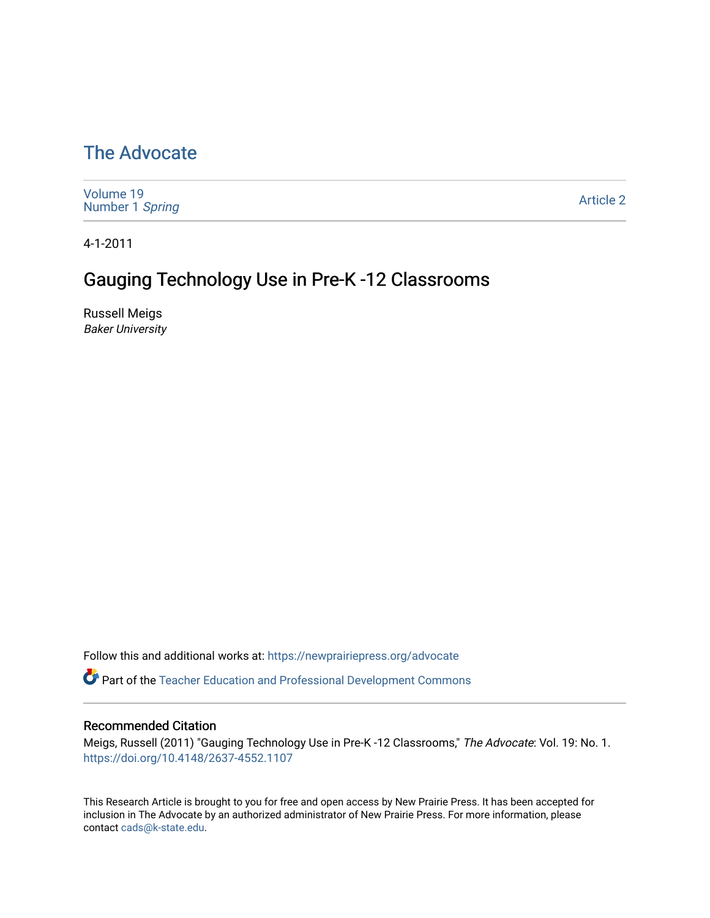# [The Advocate](https://newprairiepress.org/advocate)

| Volume 19       |  |  |
|-----------------|--|--|
| Number 1 Spring |  |  |
|                 |  |  |

[Article 2](https://newprairiepress.org/advocate/vol19/iss1/2) 

4-1-2011

# Gauging Technology Use in Pre-K -12 Classrooms

Russell Meigs Baker University

Follow this and additional works at: [https://newprairiepress.org/advocate](https://newprairiepress.org/advocate?utm_source=newprairiepress.org%2Fadvocate%2Fvol19%2Fiss1%2F2&utm_medium=PDF&utm_campaign=PDFCoverPages) 

**Part of the Teacher Education and Professional Development Commons** 

#### Recommended Citation

Meigs, Russell (2011) "Gauging Technology Use in Pre-K -12 Classrooms," The Advocate: Vol. 19: No. 1. <https://doi.org/10.4148/2637-4552.1107>

This Research Article is brought to you for free and open access by New Prairie Press. It has been accepted for inclusion in The Advocate by an authorized administrator of New Prairie Press. For more information, please contact [cads@k-state.edu](mailto:cads@k-state.edu).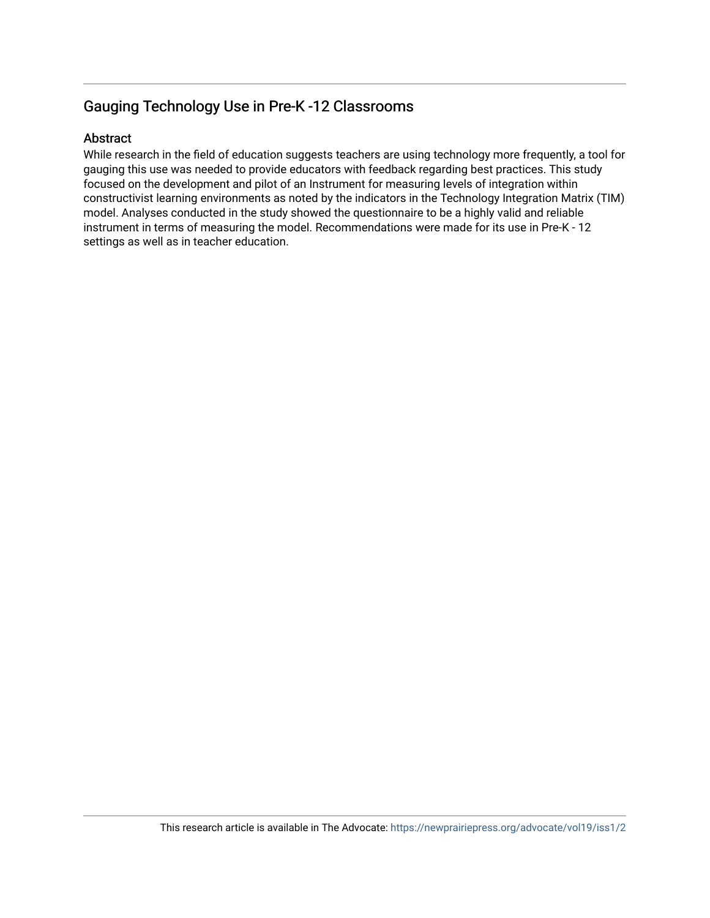### Gauging Technology Use in Pre-K -12 Classrooms

### Abstract

While research in the field of education suggests teachers are using technology more frequently, a tool for gauging this use was needed to provide educators with feedback regarding best practices. This study focused on the development and pilot of an Instrument for measuring levels of integration within constructivist learning environments as noted by the indicators in the Technology Integration Matrix (TIM) model. Analyses conducted in the study showed the questionnaire to be a highly valid and reliable instrument in terms of measuring the model. Recommendations were made for its use in Pre-K - 12 settings as well as in teacher education.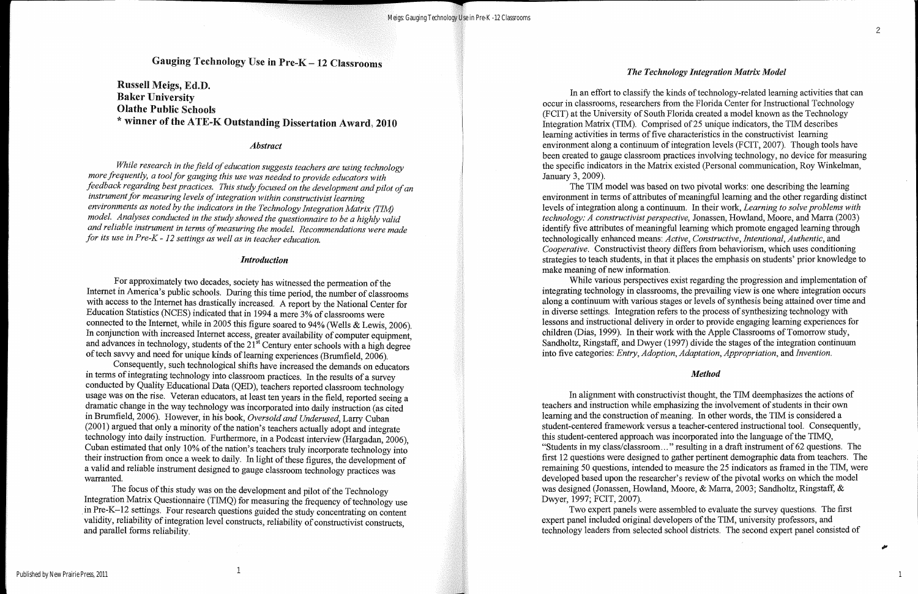## Russell Meigs, Ed.D. Baker University Olathe Public Schools \* winner of the ATE-K Outstanding Dissertation Award, 2010

#### *Abstract*

*While research in the field ofeducation suggests teachers are using technology more frequently, a tool for gauging this use was needed to provide educators with feedback regarding bestpractices. This studyfocused on the development andpilot ofan Instrument for measuring levels of integration within constructivist learning environments as noted by the indicators in the Technology Integration Matrix (TIM) model. Analyses conducted in the study showed the questionnaire to be a highly valid and reliable instrument in terms ofmeasuring the model. Recommendations were made for its use in Pre-K* - *12 settings as well as in teacher education.*

#### *Introduction*

For approximately two decades, society has witnessed the permeation of the Internet in America's public schools. During this time period, the number of classrooms with access to the Internet has drastically increased. A report by the National Center for Education Statistics (NCES) indicated that in 1994 a mere 3% of classrooms were connected to the Internet, while in 2005 this figure soared to 94% (Wells & Lewis, 2006). In conjunction with increased Internet access, greater availability of computer equipment, and advances in technology, students of the  $21^{st}$  Century enter schools with a high degree of tech savvy and need for unique kinds of learning experiences (Brumfield, 2006).

The focus of this study was on the development and pilot of the Technology Integration Matrix Questionnaire (TIMQ) for measuring the frequency of technology use in Pre-K-12 settings. Four research questions guided the study concentrating on content validity, reliability of integration level constructs, reliability of constructivist constructs, and parallel forms reliability. '

In an effort to classify the kinds of technology-related learning activities that can occur in classrooms, researchers from the Florida Center for Instructional Technology (FCIT) at the University of South Florida created a model known as the Technology Integration Matrix (TIM). Comprised of25 unique indicators, the TIM describes learning activities in terms of five characteristics in the constructivist learning environment along a continuum of integration levels (FCIT, 2007). Though tools have been created to gauge classroom practices involving technology, no device for measuring the specific indicators in the Matrix existed (Personal communication, Roy Winkelman, January 3, 2009).

The TIM model was based on two pivotal works: one describing the learning environment in terms of attributes of meaningful learning and the other regarding distinct levels of integration along a continuum. In their work, *Learning to solve problems with technology: A constructivist perspective, Jonassen, Howland, Moore, and Marra (2003)* identify five attributes of meaningful learning which promote engaged learning through technologically enhanced means: *Active, Constructive, Intentional, AuthentiC,* and *Cooperative.* Constructivist theory differs from behaviorism, which uses conditioning strategies to teach students, in that it places the emphasis on students' prior knowledge to make meaning of new information.

Consequently, such technological shifts have increased the demands on educators in terms of integrating technology into classroom practices. In the results of a survey conducted by Quality Educational Data (QED), teachers reported classroom technology usage was on the rise. Veteran educators, at least ten years in the field, reported seeing a dramatic change in the way technology was incorporated into daily instruction (as cited in Brumfield, 2006). However, in his book, *Oversold and Underused*, Larry Cuban  $(2001)$  argued that only a minority of the nation's teachers actually adopt and integrate technology into daily instruction. Furthermore, in a Podcast interview (Hargadan, 2006), Cuban estimated that only 10% of the nation's teachers truly incorporate technology into their instruction from once a week to daily. In light of these figures, the development of a valid and reliable instrument designed to gauge classroom technology practices was warranted.

#### *The Technology Integration Matrix Model*

While various perspectives exist regarding the progression and implementation of integrating technology in classrooms, the prevailing view is one where integration occurs along a continuum with various stages or levels of synthesis being attained over time and in diverse settings. Integration refers to the process of synthesizing technology with lessons and instructional delivery in order to provide engaging learning experiences for children (Dias, 1999). In their work with the Apple Classrooms of Tomorrow study, Sandholtz, Ringstaff, and Dwyer (1997) divide the stages of the integration continuum into five categories: *Entry, Adoption, Adaptation, Appropriation,* and *Invention.*

#### *Method*

In alignment with constructivist thought, the TIM deemphasizes the actions of teachers and instruction while emphasizing the involvement of students in their own learning and the construction of meaning. In other words, the TIM is considered a student-centered framework versus a teacher-centered instructional tool. Consequently, this student-centered approach was incorporated into the language of the TIMQ, "Students in my class/classroom... " resulting in a draft instrument of 62 questions. The first 12 questions were designed to gather pertinent demographic data from teachers. The remaining 50 questions, intended to measure the 25 indicators as framed in the TIM, were developed based upon the researcher's review of the pivotal works on which the model was designed (Jonassen, Howland, Moore, & Marra, 2003; Sandholtz, Ringstaff, & Dwyer, 1997; FClT, 2007).

Two expert panels were assembled to evaluate the survey questions. The first expert panel included original developers of the TIM, university professors, and technology leaders from selected school districts. The second expert panel consisted of

1

# Gauging Technology Use in Pre- $K-12$  Classrooms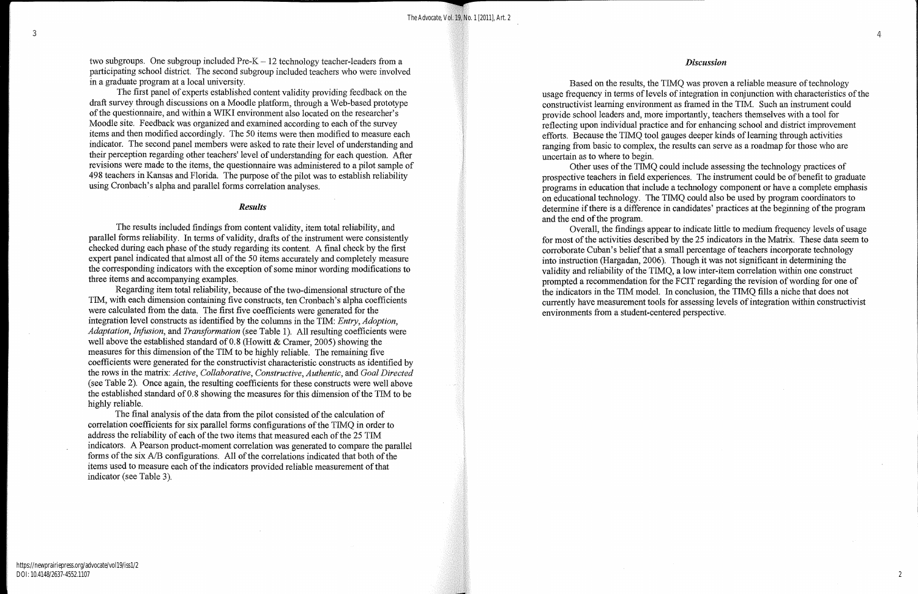two subgroups. One subgroup included  $Pre-K - 12$  technology teacher-leaders from a participating school district. The second subgroup included teachers who were involved in a graduate program at a local university.

The first panel of experts established content validity providing feedback on the draft survey through discussions on a MoodIe platform, through a Web-based prototype of the questionnaire, and within a WIKI environment also located on the researcher's Moodle site. Feedback was organized and examined according to each of the survey items and then modified accordingly. The 50 items were then modified to measure each indicator. The second panel members were asked to rate their level of understanding and their perception regarding other teachers' level of understanding for each question. After revisions were made to the items, the questionnaire was administered to a pilot sample of 498 teachers in Kansas and Florida. The purpose of the pilot was to establish reliability using Cronbach's alpha and parallel forms correlation analyses.

#### *Results*

Regarding item total reliability, because of the two-dimensional structure of the TIM, with each dimension containing five constructs, ten Cronbach's alpha coefficients were calculated from the data. The first five coefficients were generated for the integration level constructs as identified by the columns in the TIM: *Entry, Adoption, Adaptation, Infusion, and Transformation* (see Table 1). All resulting coefficients were well above the established standard of 0.8 (Howitt & Cramer, 2005) showing the measures for this dimension of the TIM to be highly reliable. The remaining five coefficients were generated for the constructivist characteristic constructs as identified by the rows in the matrix: Active, Collaborative, Constructive, Authentic, and Goal Directed (see Table 2). Once again, the resulting coefficients for these constructs were well above the established standard of 0.8 showing the measures for this dimension of the TIM to be highly reliable.

The results included findings from content validity, item total reliability, and parallel forms reliability. In terms of validity, drafts of the instrument were consistently checked during each phase of the study regarding its content. A final check by the first expert panel indicated that almost all of the 50 items accurately and completely measure the corresponding indicators with the exception of some minor wording modifications to three items and accompanying examples.

The final analysis of the data from the pilot consisted of the calculation of correlation coefficients for six parallel forms configurations of the TIMQ in order to address the reliability of each of the two items that measured each of the 25 TIM indicators. A Pearson product-moment correlation was generated to compare the parallel forms of the six *A/B* configurations. All of the correlations indicated that both of the items used to measure each of the indicators provided reliable measurement of that indicator (see Table 3).

Based on the results, the TIMQ was proven a reliable measure of technology usage frequency in terms of levels of integration in conjunction with characteristics of the constructivist learning environment as framed in the TIM. Such an instrument could provide school leaders and, more importantly, teachers themselves with a tool for reflecting upon individual practice and for enhancing school and district improvement efforts. Because the TIMQ tool gauges deeper kinds of learning through activities ranging from basic to complex, the results can serve as a roadmap for those who are uncertain as to where to begin.

Other uses of the TIMQ could include assessing the technology practices of prospective teachers in field experiences. The instrument could be of benefit to graduate programs in education that include a technology component or have a complete emphasis on educational technology. The TIMQ could also be used by program coordinators to determine if there is a difference in candidates' practices at the beginning of the program and the end of the program.

Overall, the findings appear to indicate little to medium frequency levels of usage for most of the activities described by the 25 indicators in the Matrix. These data seem to corroborate Cuban's belief that a small percentage of teachers incorporate technology into instruction (Hargadan, 2006). Though it was not significant in determining the validity and reliability of the TIMQ, a low inter-item correlation within one construct prompted a recommendation for the FCIT regarding the revision of wording for one of the indicators in the TIM model. In conclusion, the TIMQ fills a niche that does not currently have measurement tools for assessing levels of integration within constructivist environments from a student-centered perspective.

#### *Discussion*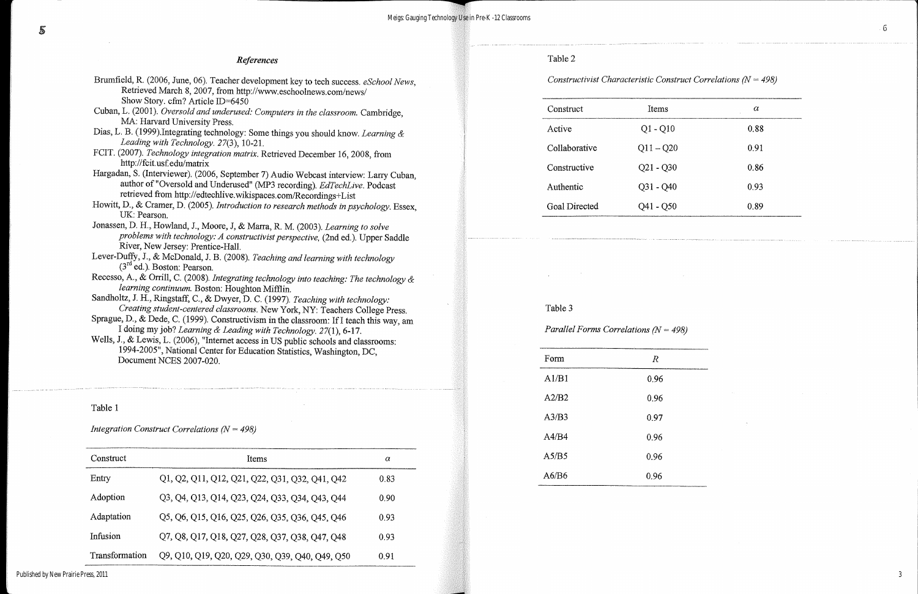------------------------------------

|   | $\alpha$ |  |
|---|----------|--|
|   | 0.88     |  |
| ) | 0.91     |  |
|   | 0.86     |  |
|   | 0.93     |  |
|   | 0.89     |  |

| References                                                                                                                                                                                   | Table 2                                |             |
|----------------------------------------------------------------------------------------------------------------------------------------------------------------------------------------------|----------------------------------------|-------------|
| Brumfield, R. (2006, June, 06). Teacher development key to tech success. eSchool News,<br>Retrieved March 8, 2007, from http://www.eschoolnews.com/news/<br>Show Story. cfm? Article ID=6450 | Constructivist Characteristic Consti   |             |
| Cuban, L. (2001). Oversold and underused: Computers in the classroom. Cambridge,                                                                                                             | Construct                              | Items       |
| MA: Harvard University Press.                                                                                                                                                                |                                        |             |
| Dias, L. B. (1999). Integrating technology: Some things you should know. Learning &                                                                                                          | Active                                 | $Q1 - Q10$  |
| Leading with Technology. 27(3), 10-21.                                                                                                                                                       | Collaborative                          | $Q11 - Q20$ |
| FCIT. (2007). Technology integration matrix. Retrieved December 16, 2008, from                                                                                                               |                                        |             |
| http://fcit.usf.edu/matrix                                                                                                                                                                   | Constructive                           | $Q21 - Q30$ |
| Hargadan, S. (Interviewer). (2006, September 7) Audio Webcast interview: Larry Cuban,                                                                                                        |                                        |             |
| author of "Oversold and Underused" (MP3 recording). EdTechLive. Podcast                                                                                                                      | Authentic                              | $Q31 - Q40$ |
| retrieved from http://edtechlive.wikispaces.com/Recordings+List<br>Howitt, D., & Cramer, D. (2005). Introduction to research methods in psychology. Essex,                                   |                                        |             |
| UK: Pearson.                                                                                                                                                                                 | Goal Directed                          | $Q41 - Q50$ |
| Jonassen, D. H., Howland, J., Moore, J. & Marra, R. M. (2003). Learning to solve                                                                                                             |                                        |             |
| problems with technology: A constructivist perspective, (2nd ed.). Upper Saddle                                                                                                              |                                        |             |
| River, New Jersey: Prentice-Hall.                                                                                                                                                            |                                        |             |
| Lever-Duffy, J., & McDonald, J. B. (2008). Teaching and learning with technology                                                                                                             |                                        |             |
| $(3^{ra}$ ed.). Boston: Pearson.                                                                                                                                                             |                                        |             |
| Recesso, A., & Orrill, C. (2008). Integrating technology into teaching: The technology &                                                                                                     |                                        |             |
| learning continuum. Boston: Houghton Mifflin.                                                                                                                                                |                                        |             |
| Sandholtz, J. H., Ringstaff, C., & Dwyer, D. C. (1997). Teaching with technology:                                                                                                            | Table 3                                |             |
| Creating student-centered classrooms. New York, NY: Teachers College Press.<br>Sprague, D., & Dede, C. (1999). Constructivism in the classroom: If I teach this way, am                      |                                        |             |
| I doing my job? Learning & Leading with Technology. 27(1), 6-17.                                                                                                                             | Parallel Forms Correlations ( $N = 49$ |             |
| Wells, J., & Lewis, L. (2006), "Internet access in US public schools and classrooms:                                                                                                         |                                        |             |
| 1994-2005", National Center for Education Statistics, Washington, DC,                                                                                                                        |                                        |             |
|                                                                                                                                                                                              |                                        |             |

Document NCES 2007-020.

### Table 1

*Integration Construct Correlations (N* = 498)

| Construct      | Items                                           | α    |
|----------------|-------------------------------------------------|------|
| Entry          | Q1, Q2, Q11, Q12, Q21, Q22, Q31, Q32, Q41, Q42  | 0.83 |
| Adoption       | Q3, Q4, Q13, Q14, Q23, Q24, Q33, Q34, Q43, Q44  | 0.90 |
| Adaptation     | Q5, Q6, Q15, Q16, Q25, Q26, Q35, Q36, Q45, Q46  | 0.93 |
| Infusion       | Q7, Q8, Q17, Q18, Q27, Q28, Q37, Q38, Q47, Q48  | 0.93 |
| Transformation | Q9, Q10, Q19, Q20, Q29, Q30, Q39, Q40, Q49, Q50 | 0.91 |

*Parallel Forms Correlations (N* = 498)

| Form  | $\boldsymbol{R}$ |
|-------|------------------|
| A1/B1 | 0.96             |
| A2/B2 | 0.96             |
| A3/B3 | 0.97             |
| A4/B4 | 0.96             |
| A5/B5 | 0.96             |
| A6/B6 | 0.96             |
|       |                  |

 $\sim$ 

3